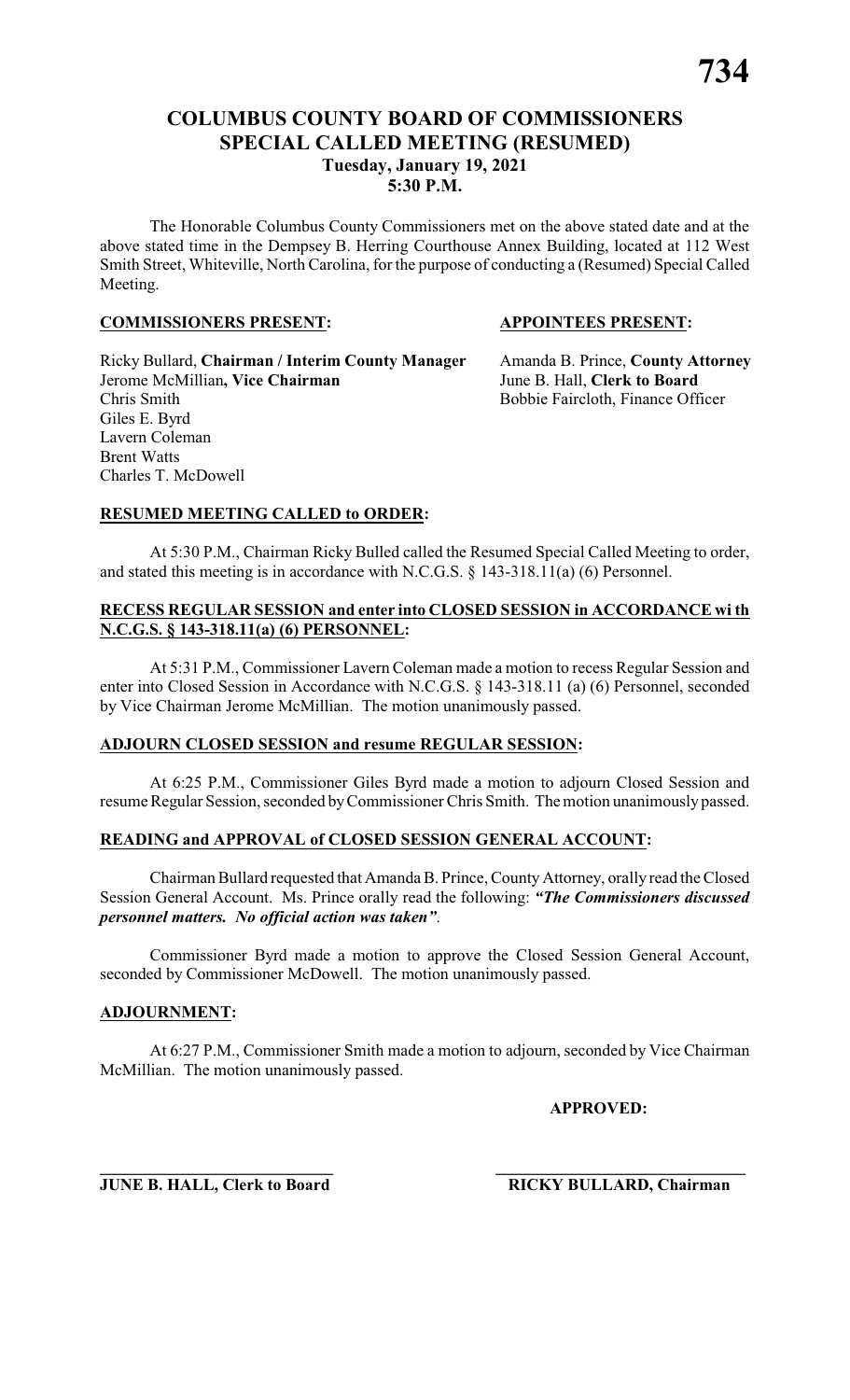# **COLUMBUS COUNTY BOARD OF COMMISSIONERS SPECIAL CALLED MEETING (RESUMED) Tuesday, January 19, 2021 5:30 P.M.**

The Honorable Columbus County Commissioners met on the above stated date and at the above stated time in the Dempsey B. Herring Courthouse Annex Building, located at 112 West Smith Street, Whiteville, North Carolina, for the purpose of conducting a (Resumed) Special Called Meeting.

#### **COMMISSIONERS PRESENT: APPOINTEES PRESENT:**

Ricky Bullard, **Chairman / Interim County Manager** Amanda B. Prince, **County Attorney** Jerome McMillian**, Vice Chairman** June B. Hall, **Clerk to Board** Giles E. Byrd Lavern Coleman Brent Watts Charles T. McDowell

Bobbie Faircloth, Finance Officer

#### **RESUMED MEETING CALLED to ORDER:**

At 5:30 P.M., Chairman Ricky Bulled called the Resumed Special Called Meeting to order, and stated this meeting is in accordance with N.C.G.S. § 143-318.11(a) (6) Personnel.

#### **RECESS REGULAR SESSION and enter into CLOSED SESSION in ACCORDANCE wi th N.C.G.S. § 143-318.11(a) (6) PERSONNEL:**

At 5:31 P.M., Commissioner Lavern Coleman made a motion to recess Regular Session and enter into Closed Session in Accordance with N.C.G.S. § 143-318.11 (a) (6) Personnel, seconded by Vice Chairman Jerome McMillian. The motion unanimously passed.

#### **ADJOURN CLOSED SESSION and resume REGULAR SESSION:**

At 6:25 P.M., Commissioner Giles Byrd made a motion to adjourn Closed Session and resume Regular Session, seconded byCommissioner Chris Smith. The motion unanimously passed.

#### **READING and APPROVAL of CLOSED SESSION GENERAL ACCOUNT:**

Chairman Bullard requested that Amanda B. Prince, County Attorney, orally read the Closed Session General Account. Ms. Prince orally read the following: *"The Commissioners discussed personnel matters. No official action was taken"*.

Commissioner Byrd made a motion to approve the Closed Session General Account, seconded by Commissioner McDowell. The motion unanimously passed.

#### **ADJOURNMENT:**

At 6:27 P.M., Commissioner Smith made a motion to adjourn, seconded by Vice Chairman McMillian. The motion unanimously passed.

**\_\_\_\_\_\_\_\_\_\_\_\_\_\_\_\_\_\_\_\_\_\_\_\_\_\_\_\_ \_\_\_\_\_\_\_\_\_\_\_\_\_\_\_\_\_\_\_\_\_\_\_\_\_\_\_\_\_\_**

**APPROVED:**

**JUNE B. HALL, Clerk to Board RICKY BULLARD, Chairman**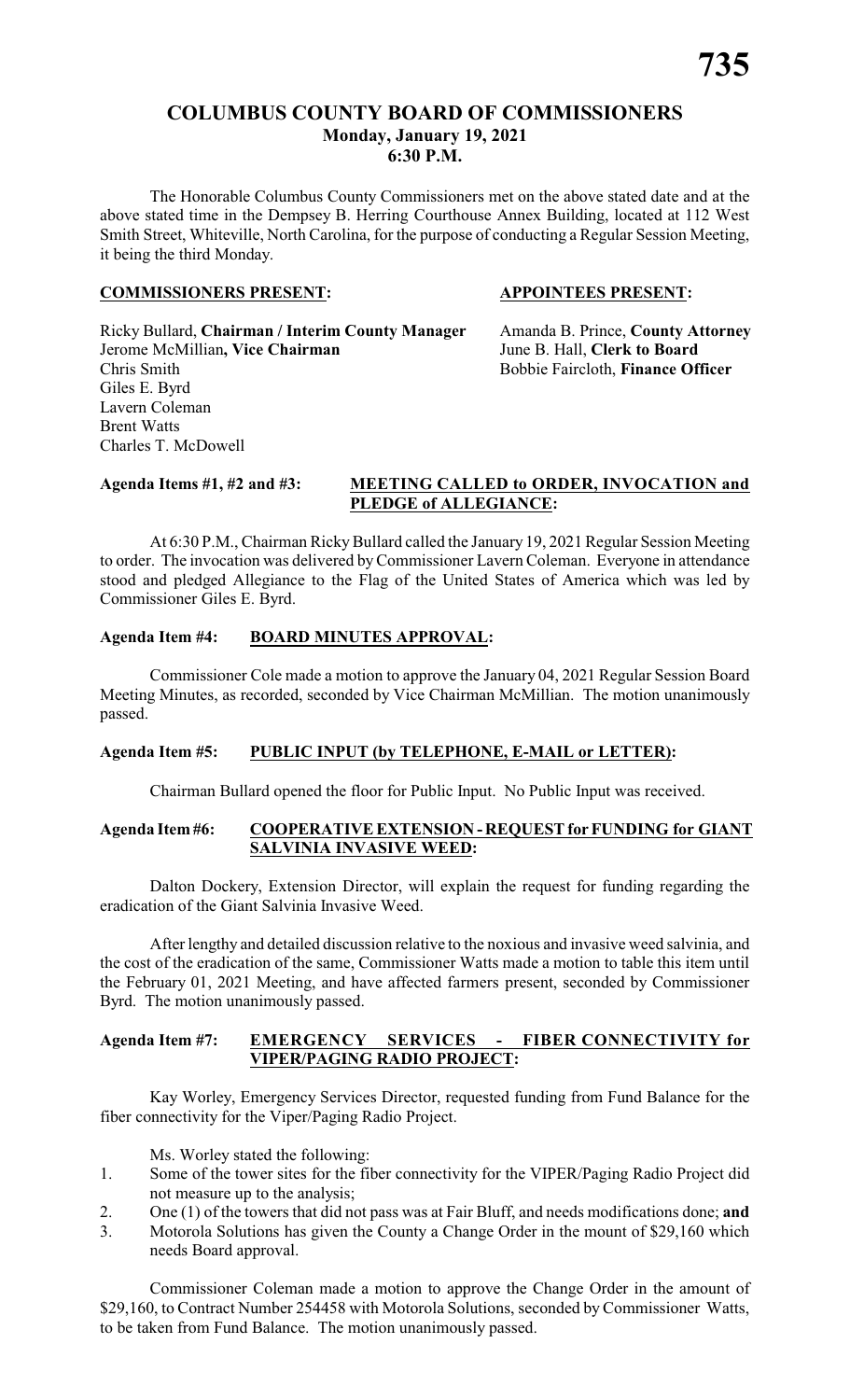The Honorable Columbus County Commissioners met on the above stated date and at the above stated time in the Dempsey B. Herring Courthouse Annex Building, located at 112 West Smith Street, Whiteville, North Carolina, for the purpose of conducting a Regular Session Meeting, it being the third Monday.

#### **COMMISSIONERS PRESENT: APPOINTEES PRESENT:**

Ricky Bullard, **Chairman / Interim County Manager** Amanda B. Prince, **County Attorney** Jerome McMillian**, Vice Chairman** June B. Hall, **Clerk to Board** Chris Smith Bobbie Faircloth, **Finance Officer** Giles E. Byrd Lavern Coleman Brent Watts Charles T. McDowell

#### **Agenda Items #1, #2 and #3: MEETING CALLED to ORDER, INVOCATION and PLEDGE of ALLEGIANCE:**

At 6:30 P.M., Chairman Ricky Bullard called the January 19, 2021 Regular Session Meeting to order. The invocation was delivered byCommissioner Lavern Coleman. Everyone in attendance stood and pledged Allegiance to the Flag of the United States of America which was led by Commissioner Giles E. Byrd.

# **Agenda Item #4: BOARD MINUTES APPROVAL:**

Commissioner Cole made a motion to approve the January 04, 2021 Regular Session Board Meeting Minutes, as recorded, seconded by Vice Chairman McMillian. The motion unanimously passed.

# **Agenda Item #5: PUBLIC INPUT (by TELEPHONE, E-MAIL or LETTER):**

Chairman Bullard opened the floor for Public Input. No Public Input was received.

# **Agenda Item #6: COOPERATIVE EXTENSION - REQUEST for FUNDING for GIANT SALVINIA INVASIVE WEED:**

Dalton Dockery, Extension Director, will explain the request for funding regarding the eradication of the Giant Salvinia Invasive Weed.

After lengthy and detailed discussion relative to the noxious and invasive weed salvinia, and the cost of the eradication of the same, Commissioner Watts made a motion to table this item until the February 01, 2021 Meeting, and have affected farmers present, seconded by Commissioner Byrd. The motion unanimously passed.

# **Agenda Item #7: EMERGENCY SERVICES - FIBER CONNECTIVITY for VIPER/PAGING RADIO PROJECT:**

Kay Worley, Emergency Services Director, requested funding from Fund Balance for the fiber connectivity for the Viper/Paging Radio Project.

Ms. Worley stated the following:

- 1. Some of the tower sites for the fiber connectivity for the VIPER/Paging Radio Project did not measure up to the analysis;
- 2. One (1) of the towers that did not pass was at Fair Bluff, and needs modifications done; **and**
- 3. Motorola Solutions has given the County a Change Order in the mount of \$29,160 which needs Board approval.

Commissioner Coleman made a motion to approve the Change Order in the amount of \$29,160, to Contract Number 254458 with Motorola Solutions, seconded by Commissioner Watts, to be taken from Fund Balance. The motion unanimously passed.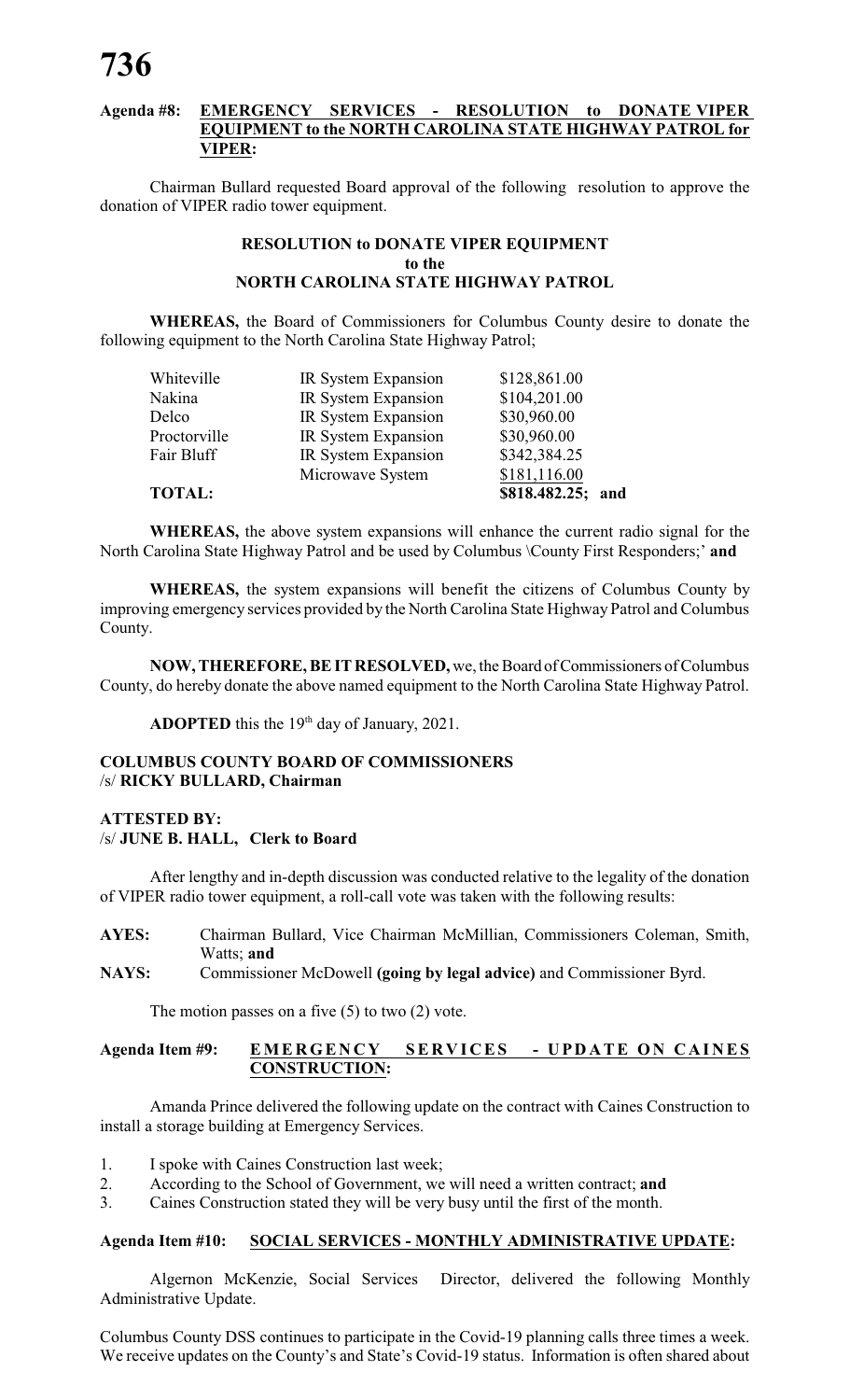#### **Agenda #8: EMERGENCY SERVICES - RESOLUTION to DONATE VIPER EQUIPMENT to the NORTH CAROLINA STATE HIGHWAY PATROL for VIPER:**

Chairman Bullard requested Board approval of the following resolution to approve the donation of VIPER radio tower equipment.

#### **RESOLUTION to DONATE VIPER EQUIPMENT to the NORTH CAROLINA STATE HIGHWAY PATROL**

**WHEREAS,** the Board of Commissioners for Columbus County desire to donate the following equipment to the North Carolina State Highway Patrol;

| <b>TOTAL:</b> |                     | \$818.482.25;<br>and |
|---------------|---------------------|----------------------|
|               | Microwave System    | \$181,116.00         |
| Fair Bluff    | IR System Expansion | \$342,384.25         |
| Proctorville  | IR System Expansion | \$30,960.00          |
| Delco         | IR System Expansion | \$30,960.00          |
| Nakina        | IR System Expansion | \$104,201.00         |
| Whiteville    | IR System Expansion | \$128,861.00         |
|               |                     |                      |

**WHEREAS,** the above system expansions will enhance the current radio signal for the North Carolina State Highway Patrol and be used by Columbus \County First Responders;' **and**

**WHEREAS,** the system expansions will benefit the citizens of Columbus County by improving emergency services provided by the North Carolina State Highway Patrol and Columbus County.

**NOW, THEREFORE, BE IT RESOLVED,** we, the Board of Commissioners of Columbus County, do hereby donate the above named equipment to the North Carolina State Highway Patrol.

ADOPTED this the 19<sup>th</sup> day of January, 2021.

#### **COLUMBUS COUNTY BOARD OF COMMISSIONERS** /s/ **RICKY BULLARD, Chairman**

# **ATTESTED BY:** /s/ **JUNE B. HALL, Clerk to Board**

After lengthy and in-depth discussion was conducted relative to the legality of the donation of VIPER radio tower equipment, a roll-call vote was taken with the following results:

- **AYES:** Chairman Bullard, Vice Chairman McMillian, Commissioners Coleman, Smith, Watts; **and**
- **NAYS:** Commissioner McDowell **(going by legal advice)** and Commissioner Byrd.

The motion passes on a five  $(5)$  to two  $(2)$  vote.

#### Agenda Item #9: EMERGENCY SERVICES - UPDATE ON CAINES **CONSTRUCTION:**

Amanda Prince delivered the following update on the contract with Caines Construction to install a storage building at Emergency Services.

- 1. I spoke with Caines Construction last week;
- 2. According to the School of Government, we will need a written contract; **and**<br>3. Caines Construction stated they will be very busy until the first of the month.
- 3. Caines Construction stated they will be very busy until the first of the month.

#### **Agenda Item #10: SOCIAL SERVICES - MONTHLY ADMINISTRATIVE UPDATE:**

Algernon McKenzie, Social Services Director, delivered the following Monthly Administrative Update.

Columbus County DSS continues to participate in the Covid-19 planning calls three times a week. We receive updates on the County's and State's Covid-19 status. Information is often shared about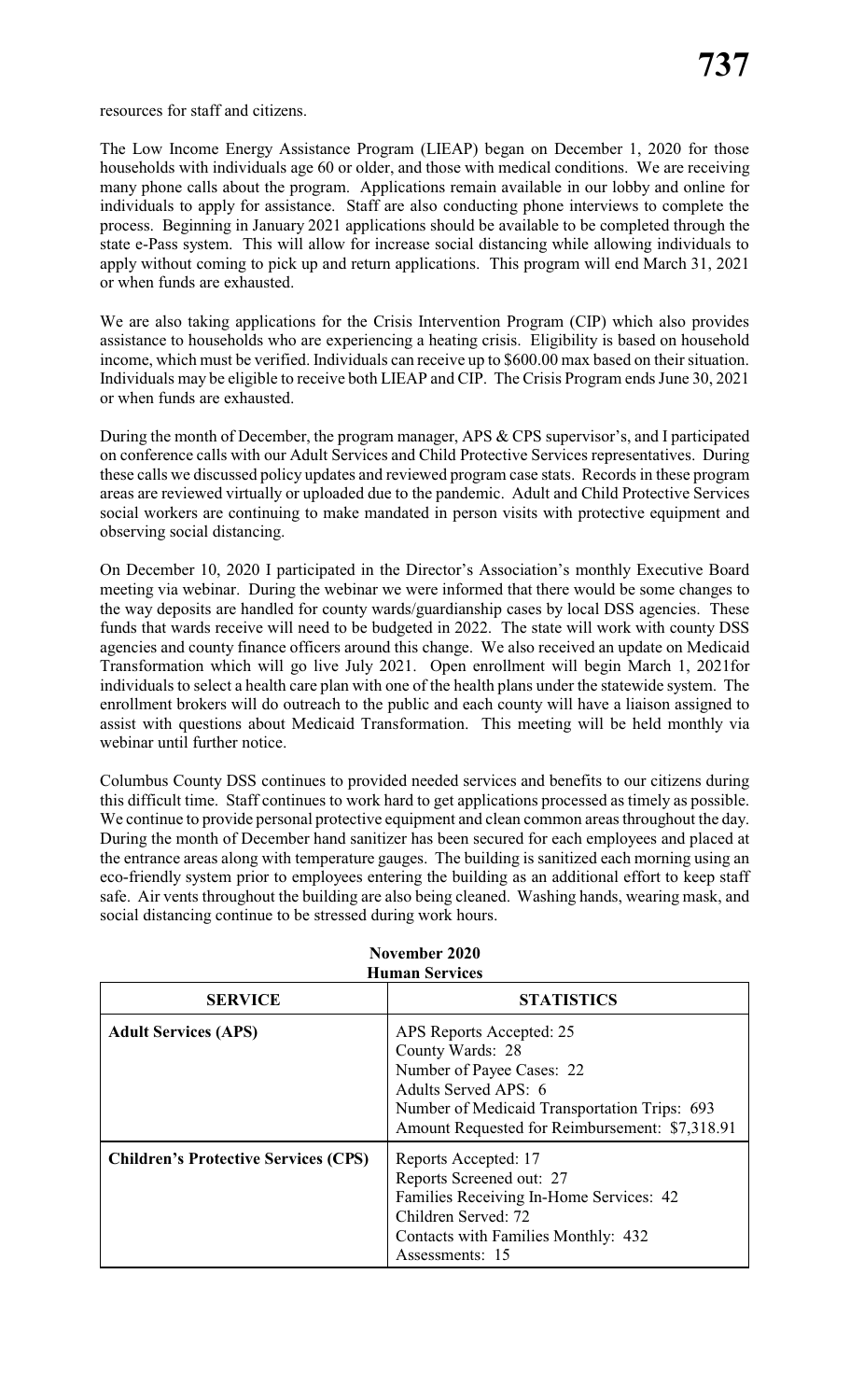resources for staff and citizens.

The Low Income Energy Assistance Program (LIEAP) began on December 1, 2020 for those households with individuals age 60 or older, and those with medical conditions. We are receiving many phone calls about the program. Applications remain available in our lobby and online for individuals to apply for assistance. Staff are also conducting phone interviews to complete the process. Beginning in January 2021 applications should be available to be completed through the state e-Pass system. This will allow for increase social distancing while allowing individuals to apply without coming to pick up and return applications. This program will end March 31, 2021 or when funds are exhausted.

We are also taking applications for the Crisis Intervention Program (CIP) which also provides assistance to households who are experiencing a heating crisis. Eligibility is based on household income, which must be verified. Individuals can receive up to \$600.00 max based on their situation. Individuals may be eligible to receive both LIEAP and CIP. The Crisis Program ends June 30, 2021 or when funds are exhausted.

During the month of December, the program manager, APS & CPS supervisor's, and I participated on conference calls with our Adult Services and Child Protective Services representatives. During these calls we discussed policy updates and reviewed program case stats. Records in these program areas are reviewed virtually or uploaded due to the pandemic. Adult and Child Protective Services social workers are continuing to make mandated in person visits with protective equipment and observing social distancing.

On December 10, 2020 I participated in the Director's Association's monthly Executive Board meeting via webinar. During the webinar we were informed that there would be some changes to the way deposits are handled for county wards/guardianship cases by local DSS agencies. These funds that wards receive will need to be budgeted in 2022. The state will work with county DSS agencies and county finance officers around this change. We also received an update on Medicaid Transformation which will go live July 2021. Open enrollment will begin March 1, 2021for individuals to select a health care plan with one of the health plans under the statewide system. The enrollment brokers will do outreach to the public and each county will have a liaison assigned to assist with questions about Medicaid Transformation. This meeting will be held monthly via webinar until further notice.

Columbus County DSS continues to provided needed services and benefits to our citizens during this difficult time. Staff continues to work hard to get applications processed as timely as possible. We continue to provide personal protective equipment and clean common areas throughout the day. During the month of December hand sanitizer has been secured for each employees and placed at the entrance areas along with temperature gauges. The building is sanitized each morning using an eco-friendly system prior to employees entering the building as an additional effort to keep staff safe. Air vents throughout the building are also being cleaned. Washing hands, wearing mask, and social distancing continue to be stressed during work hours.

| <b>Human Services</b>                       |                                                                                                                                                                                                     |  |  |
|---------------------------------------------|-----------------------------------------------------------------------------------------------------------------------------------------------------------------------------------------------------|--|--|
| <b>SERVICE</b>                              | <b>STATISTICS</b>                                                                                                                                                                                   |  |  |
| <b>Adult Services (APS)</b>                 | APS Reports Accepted: 25<br>County Wards: 28<br>Number of Payee Cases: 22<br>Adults Served APS: 6<br>Number of Medicaid Transportation Trips: 693<br>Amount Requested for Reimbursement: \$7,318.91 |  |  |
| <b>Children's Protective Services (CPS)</b> | Reports Accepted: 17<br>Reports Screened out: 27<br>Families Receiving In-Home Services: 42<br>Children Served: 72<br>Contacts with Families Monthly: 432<br>Assessments: 15                        |  |  |

# **November 2020**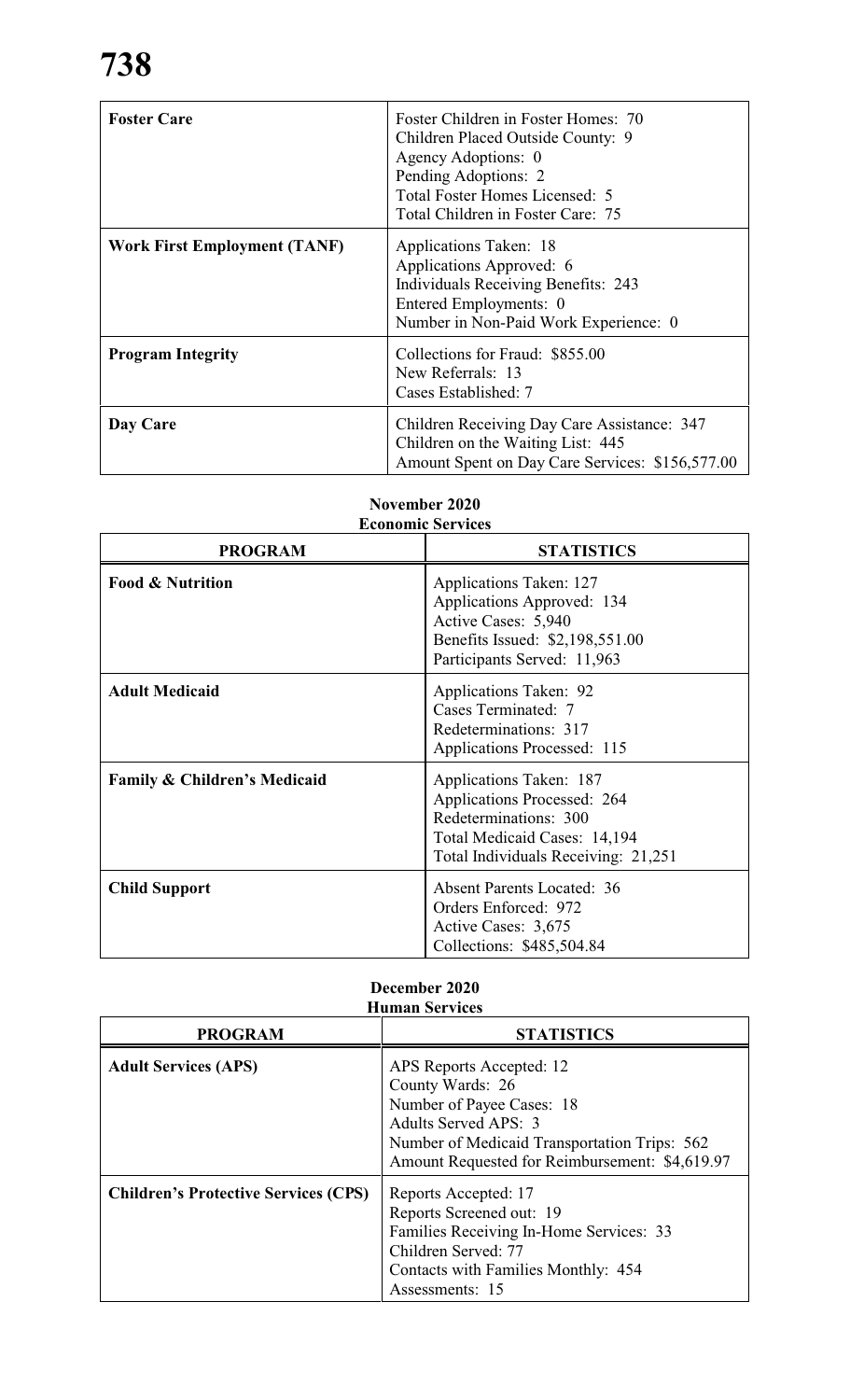| <b>Foster Care</b>                  | Foster Children in Foster Homes: 70<br>Children Placed Outside County: 9<br>Agency Adoptions: 0<br>Pending Adoptions: 2<br>Total Foster Homes Licensed: 5<br>Total Children in Foster Care: 75 |
|-------------------------------------|------------------------------------------------------------------------------------------------------------------------------------------------------------------------------------------------|
| <b>Work First Employment (TANF)</b> | Applications Taken: 18<br>Applications Approved: 6<br>Individuals Receiving Benefits: 243<br>Entered Employments: 0<br>Number in Non-Paid Work Experience: 0                                   |
| <b>Program Integrity</b>            | Collections for Fraud: \$855.00<br>New Referrals: 13<br>Cases Established: 7                                                                                                                   |
| Day Care                            | Children Receiving Day Care Assistance: 347<br>Children on the Waiting List: 445<br>Amount Spent on Day Care Services: \$156,577.00                                                            |

### **November 2020 Economic Services**

| <b>PROGRAM</b>                          | <b>STATISTICS</b>                                                                                                                                      |  |
|-----------------------------------------|--------------------------------------------------------------------------------------------------------------------------------------------------------|--|
| <b>Food &amp; Nutrition</b>             | Applications Taken: 127<br>Applications Approved: 134<br>Active Cases: 5,940<br>Benefits Issued: \$2,198,551.00<br>Participants Served: 11,963         |  |
| <b>Adult Medicaid</b>                   | Applications Taken: 92<br>Cases Terminated: 7<br>Redeterminations: 317<br>Applications Processed: 115                                                  |  |
| <b>Family &amp; Children's Medicaid</b> | Applications Taken: 187<br>Applications Processed: 264<br>Redeterminations: 300<br>Total Medicaid Cases: 14,194<br>Total Individuals Receiving: 21,251 |  |
| <b>Child Support</b>                    | <b>Absent Parents Located: 36</b><br>Orders Enforced: 972<br>Active Cases: 3,675<br>Collections: \$485,504.84                                          |  |

#### **December 2020 Human Services**

| <b>PROGRAM</b>                              | <b>STATISTICS</b>                                                                                                                                                                                   |
|---------------------------------------------|-----------------------------------------------------------------------------------------------------------------------------------------------------------------------------------------------------|
| <b>Adult Services (APS)</b>                 | APS Reports Accepted: 12<br>County Wards: 26<br>Number of Payee Cases: 18<br>Adults Served APS: 3<br>Number of Medicaid Transportation Trips: 562<br>Amount Requested for Reimbursement: \$4,619.97 |
| <b>Children's Protective Services (CPS)</b> | Reports Accepted: 17<br>Reports Screened out: 19<br>Families Receiving In-Home Services: 33<br>Children Served: 77<br>Contacts with Families Monthly: 454<br>Assessments: 15                        |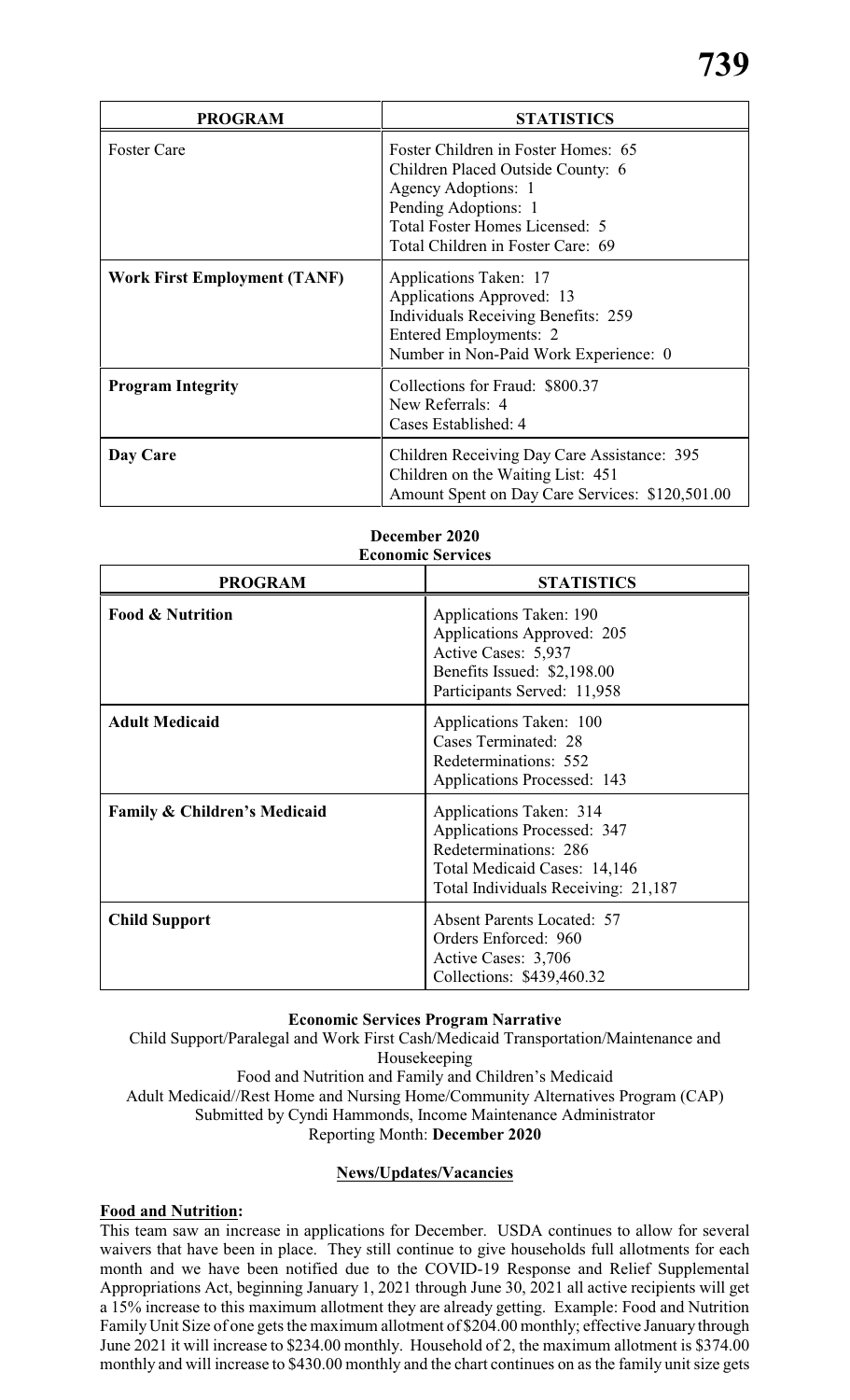| <b>PROGRAM</b>                      | <b>STATISTICS</b>                                                                                                                                                                                                                                                                                                                                                      |  |
|-------------------------------------|------------------------------------------------------------------------------------------------------------------------------------------------------------------------------------------------------------------------------------------------------------------------------------------------------------------------------------------------------------------------|--|
| <b>Foster Care</b>                  | Foster Children in Foster Homes: 65<br>Children Placed Outside County: 6<br>Agency Adoptions: 1<br>Pending Adoptions: 1<br>Total Foster Homes Licensed: 5<br>Total Children in Foster Care: 69<br>Applications Taken: 17<br>Applications Approved: 13<br><b>Individuals Receiving Benefits: 259</b><br>Entered Employments: 2<br>Number in Non-Paid Work Experience: 0 |  |
| <b>Work First Employment (TANF)</b> |                                                                                                                                                                                                                                                                                                                                                                        |  |
| <b>Program Integrity</b>            | Collections for Fraud: \$800.37<br>New Referrals: 4<br>Cases Established: 4                                                                                                                                                                                                                                                                                            |  |
| Day Care                            | Children Receiving Day Care Assistance: 395<br>Children on the Waiting List: 451<br>Amount Spent on Day Care Services: \$120,501.00                                                                                                                                                                                                                                    |  |

#### **December 2020 Economic Services**

| <b>PROGRAM</b>                          | <b>STATISTICS</b>                                                                                                                                             |  |  |
|-----------------------------------------|---------------------------------------------------------------------------------------------------------------------------------------------------------------|--|--|
| <b>Food &amp; Nutrition</b>             | Applications Taken: 190<br>Applications Approved: 205<br>Active Cases: 5,937<br>Benefits Issued: \$2,198.00<br>Participants Served: 11,958                    |  |  |
| <b>Adult Medicaid</b>                   | Applications Taken: 100<br><b>Cases Terminated: 28</b><br>Redeterminations: 552<br>Applications Processed: 143                                                |  |  |
| <b>Family &amp; Children's Medicaid</b> | Applications Taken: 314<br><b>Applications Processed: 347</b><br>Redeterminations: 286<br>Total Medicaid Cases: 14,146<br>Total Individuals Receiving: 21,187 |  |  |
| <b>Child Support</b>                    | <b>Absent Parents Located: 57</b><br>Orders Enforced: 960<br>Active Cases: 3,706<br>Collections: \$439,460.32                                                 |  |  |

# **Economic Services Program Narrative**

Child Support/Paralegal and Work First Cash/Medicaid Transportation/Maintenance and Housekeeping Food and Nutrition and Family and Children's Medicaid Adult Medicaid//Rest Home and Nursing Home/Community Alternatives Program (CAP) Submitted by Cyndi Hammonds, Income Maintenance Administrator Reporting Month: **December 2020**

#### **News/Updates/Vacancies**

#### **Food and Nutrition:**

This team saw an increase in applications for December. USDA continues to allow for several waivers that have been in place. They still continue to give households full allotments for each month and we have been notified due to the COVID-19 Response and Relief Supplemental Appropriations Act, beginning January 1, 2021 through June 30, 2021 all active recipients will get a 15% increase to this maximum allotment they are already getting. Example: Food and Nutrition FamilyUnit Size of one gets the maximum allotment of \$204.00 monthly; effective January through June 2021 it will increase to \$234.00 monthly. Household of 2, the maximum allotment is \$374.00 monthly and will increase to \$430.00 monthly and the chart continues on as the family unit size gets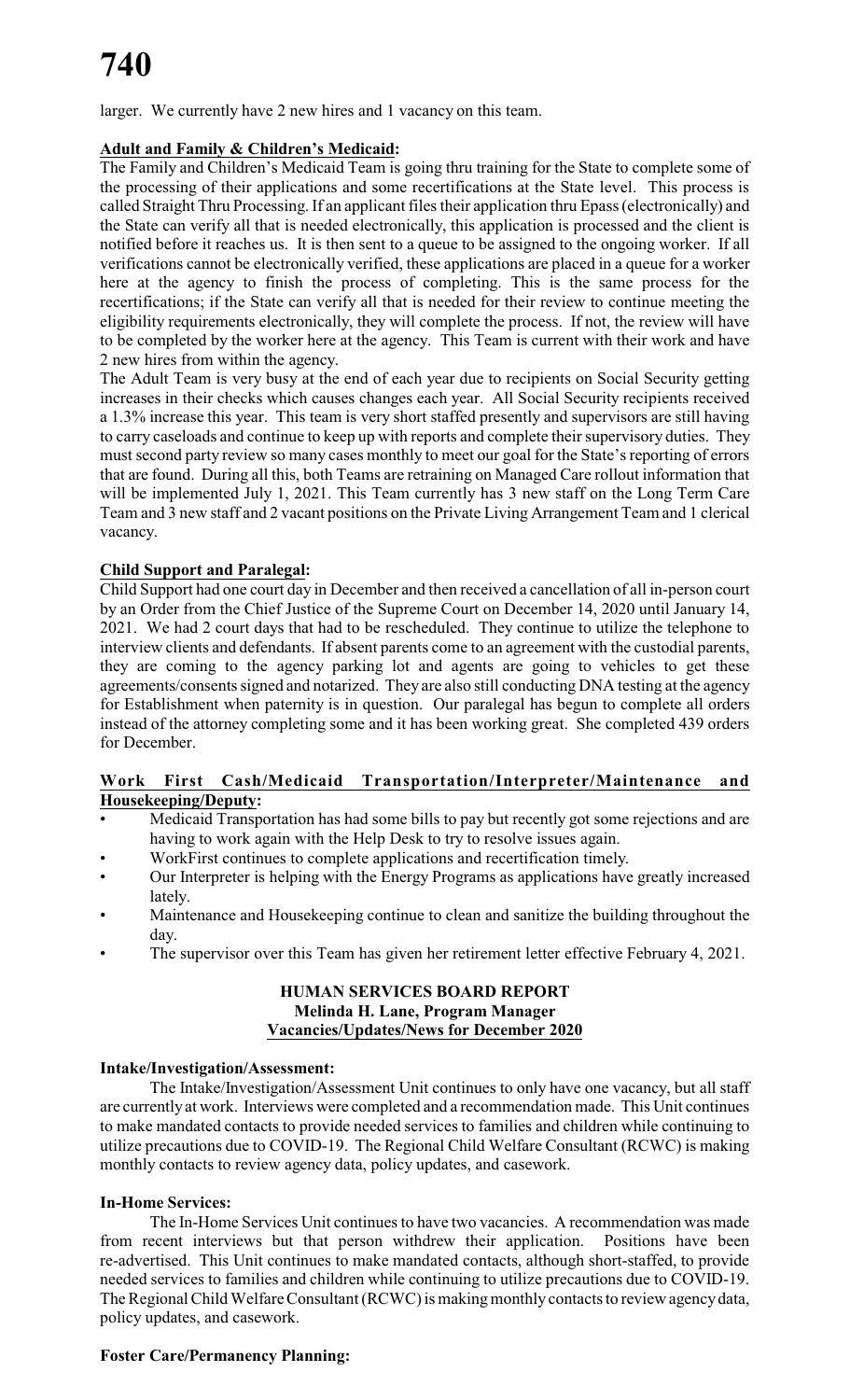larger. We currently have 2 new hires and 1 vacancy on this team.

# **Adult and Family & Children's Medicaid:**

The Family and Children's Medicaid Team is going thru training for the State to complete some of the processing of their applications and some recertifications at the State level. This process is called Straight Thru Processing. If an applicant files their application thru Epass (electronically) and the State can verify all that is needed electronically, this application is processed and the client is notified before it reaches us. It is then sent to a queue to be assigned to the ongoing worker. If all verifications cannot be electronically verified, these applications are placed in a queue for a worker here at the agency to finish the process of completing. This is the same process for the recertifications; if the State can verify all that is needed for their review to continue meeting the eligibility requirements electronically, they will complete the process. If not, the review will have to be completed by the worker here at the agency. This Team is current with their work and have 2 new hires from within the agency.

The Adult Team is very busy at the end of each year due to recipients on Social Security getting increases in their checks which causes changes each year. All Social Security recipients received a 1.3% increase this year. This team is very short staffed presently and supervisors are still having to carry caseloads and continue to keep up with reports and complete their supervisory duties. They must second party review so many cases monthly to meet our goal for the State's reporting of errors that are found. During all this, both Teams are retraining on Managed Care rollout information that will be implemented July 1, 2021. This Team currently has 3 new staff on the Long Term Care Team and 3 new staff and 2 vacant positions on the Private Living Arrangement Team and 1 clerical vacancy.

# **Child Support and Paralegal:**

Child Support had one court day in December and then received a cancellation of all in-person court by an Order from the Chief Justice of the Supreme Court on December 14, 2020 until January 14, 2021. We had 2 court days that had to be rescheduled. They continue to utilize the telephone to interview clients and defendants. If absent parents come to an agreement with the custodial parents, they are coming to the agency parking lot and agents are going to vehicles to get these agreements/consents signed and notarized. They are also still conducting DNA testing at the agency for Establishment when paternity is in question. Our paralegal has begun to complete all orders instead of the attorney completing some and it has been working great. She completed 439 orders for December.

#### **Work First Cash/Medicaid Transportation/Interpreter/Maintenance and Housekeeping/Deputy:**

- Medicaid Transportation has had some bills to pay but recently got some rejections and are having to work again with the Help Desk to try to resolve issues again.
- WorkFirst continues to complete applications and recertification timely.
- Our Interpreter is helping with the Energy Programs as applications have greatly increased lately.
- Maintenance and Housekeeping continue to clean and sanitize the building throughout the day.
- The supervisor over this Team has given her retirement letter effective February 4, 2021.

#### **HUMAN SERVICES BOARD REPORT Melinda H. Lane, Program Manager Vacancies/Updates/News for December 2020**

#### **Intake/Investigation/Assessment:**

The Intake/Investigation/Assessment Unit continues to only have one vacancy, but all staff are currentlyat work. Interviews were completed and a recommendation made. This Unit continues to make mandated contacts to provide needed services to families and children while continuing to utilize precautions due to COVID-19. The Regional Child Welfare Consultant (RCWC) is making monthly contacts to review agency data, policy updates, and casework.

#### **In-Home Services:**

The In-Home Services Unit continues to have two vacancies. A recommendation was made from recent interviews but that person withdrew their application. Positions have been re-advertised. This Unit continues to make mandated contacts, although short-staffed, to provide needed services to families and children while continuing to utilize precautions due to COVID-19. The Regional Child Welfare Consultant (RCWC) is making monthly contacts to review agency data, policy updates, and casework.

#### **Foster Care/Permanency Planning:**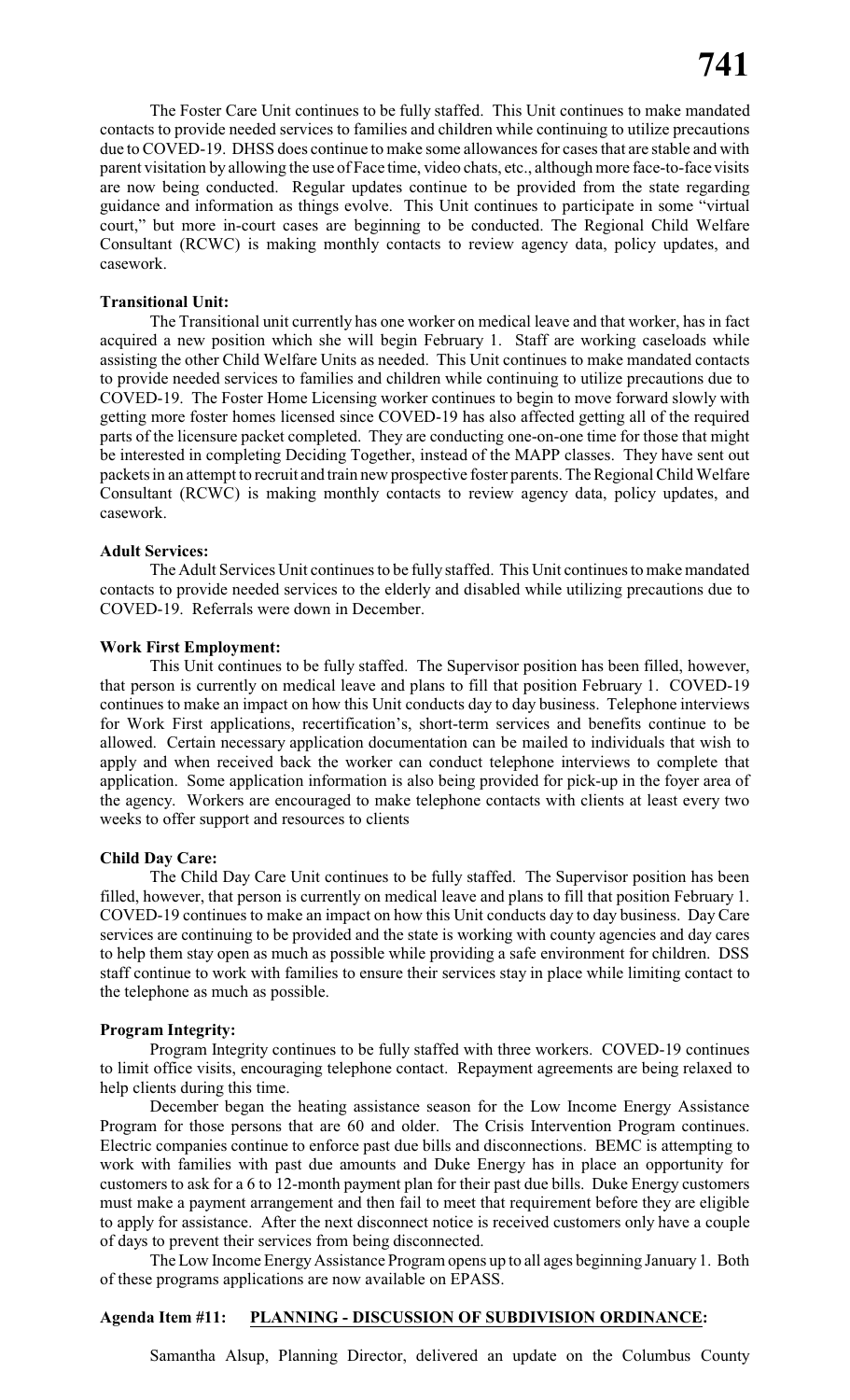The Foster Care Unit continues to be fully staffed. This Unit continues to make mandated contacts to provide needed services to families and children while continuing to utilize precautions due to COVED-19. DHSS does continue to make some allowances for cases that are stable and with parent visitation by allowing the use of Face time, video chats, etc., although more face-to-face visits are now being conducted. Regular updates continue to be provided from the state regarding guidance and information as things evolve. This Unit continues to participate in some "virtual court," but more in-court cases are beginning to be conducted. The Regional Child Welfare Consultant (RCWC) is making monthly contacts to review agency data, policy updates, and casework.

#### **Transitional Unit:**

The Transitional unit currently has one worker on medical leave and that worker, has in fact acquired a new position which she will begin February 1. Staff are working caseloads while assisting the other Child Welfare Units as needed. This Unit continues to make mandated contacts to provide needed services to families and children while continuing to utilize precautions due to COVED-19. The Foster Home Licensing worker continues to begin to move forward slowly with getting more foster homes licensed since COVED-19 has also affected getting all of the required parts of the licensure packet completed. They are conducting one-on-one time for those that might be interested in completing Deciding Together, instead of the MAPP classes. They have sent out packets in an attempt to recruit and train new prospective foster parents. The Regional Child Welfare Consultant (RCWC) is making monthly contacts to review agency data, policy updates, and casework.

#### **Adult Services:**

The Adult Services Unit continues to be fully staffed. This Unit continues to make mandated contacts to provide needed services to the elderly and disabled while utilizing precautions due to COVED-19. Referrals were down in December.

#### **Work First Employment:**

This Unit continues to be fully staffed. The Supervisor position has been filled, however, that person is currently on medical leave and plans to fill that position February 1. COVED-19 continues to make an impact on how this Unit conducts day to day business. Telephone interviews for Work First applications, recertification's, short-term services and benefits continue to be allowed. Certain necessary application documentation can be mailed to individuals that wish to apply and when received back the worker can conduct telephone interviews to complete that application. Some application information is also being provided for pick-up in the foyer area of the agency. Workers are encouraged to make telephone contacts with clients at least every two weeks to offer support and resources to clients

#### **Child Day Care:**

The Child Day Care Unit continues to be fully staffed. The Supervisor position has been filled, however, that person is currently on medical leave and plans to fill that position February 1. COVED-19 continues to make an impact on how this Unit conducts day to day business. Day Care services are continuing to be provided and the state is working with county agencies and day cares to help them stay open as much as possible while providing a safe environment for children. DSS staff continue to work with families to ensure their services stay in place while limiting contact to the telephone as much as possible.

#### **Program Integrity:**

Program Integrity continues to be fully staffed with three workers. COVED-19 continues to limit office visits, encouraging telephone contact. Repayment agreements are being relaxed to help clients during this time.

December began the heating assistance season for the Low Income Energy Assistance Program for those persons that are 60 and older. The Crisis Intervention Program continues. Electric companies continue to enforce past due bills and disconnections. BEMC is attempting to work with families with past due amounts and Duke Energy has in place an opportunity for customers to ask for a 6 to 12-month payment plan for their past due bills. Duke Energy customers must make a payment arrangement and then fail to meet that requirement before they are eligible to apply for assistance. After the next disconnect notice is received customers only have a couple of days to prevent their services from being disconnected.

The Low Income Energy Assistance Program opens up to all ages beginning January 1. Both of these programs applications are now available on EPASS.

#### **Agenda Item #11: PLANNING - DISCUSSION OF SUBDIVISION ORDINANCE:**

Samantha Alsup, Planning Director, delivered an update on the Columbus County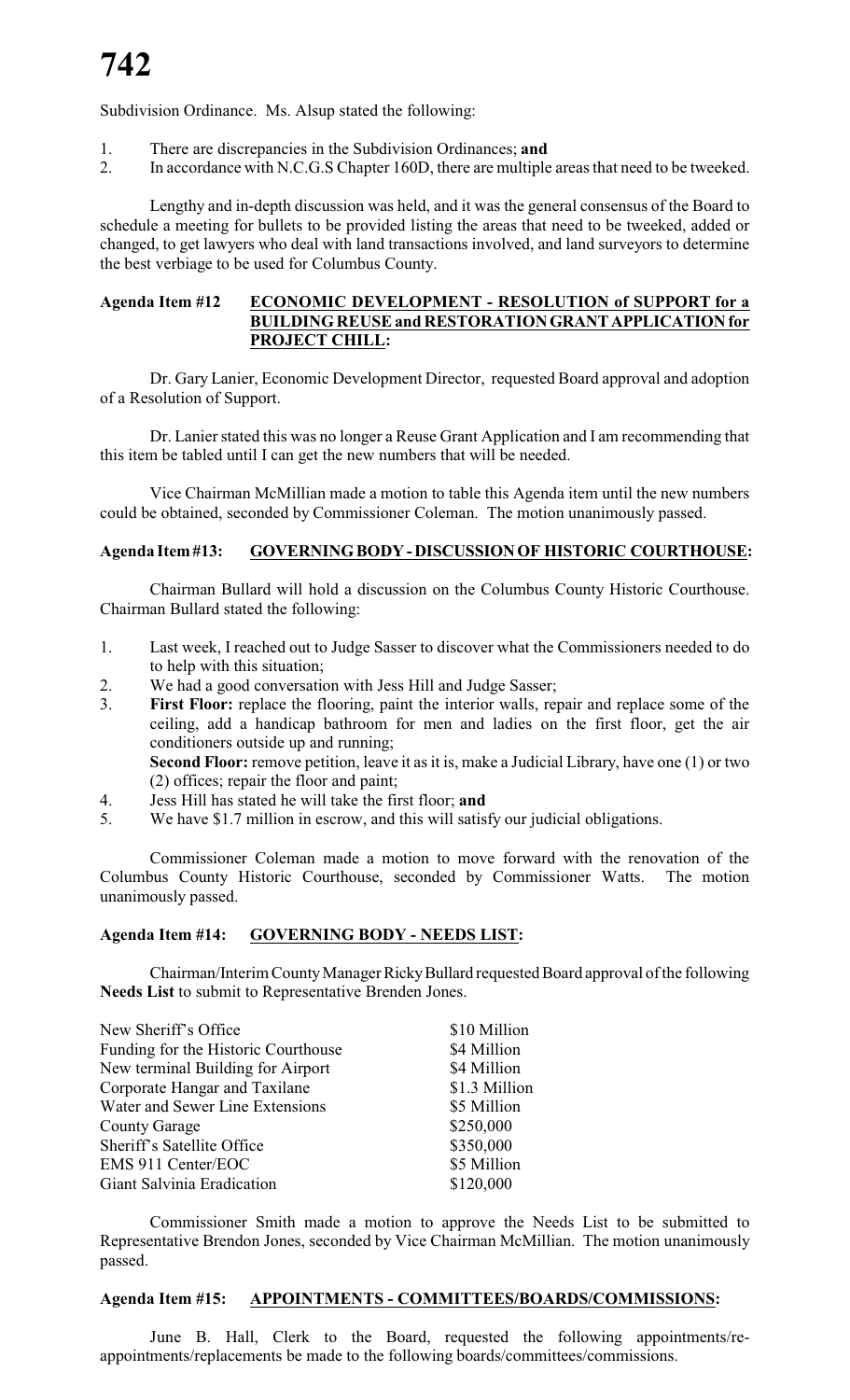Subdivision Ordinance. Ms. Alsup stated the following:

- 1. There are discrepancies in the Subdivision Ordinances; **and**
- 2. In accordance with N.C.G.S Chapter 160D, there are multiple areas that need to be tweeked.

Lengthy and in-depth discussion was held, and it was the general consensus of the Board to schedule a meeting for bullets to be provided listing the areas that need to be tweeked, added or changed, to get lawyers who deal with land transactions involved, and land surveyors to determine the best verbiage to be used for Columbus County.

#### **Agenda Item #12 ECONOMIC DEVELOPMENT - RESOLUTION of SUPPORT for a BUILDINGREUSE and RESTORATIONGRANTAPPLICATIONfor PROJECT CHILL:**

Dr. Gary Lanier, Economic Development Director, requested Board approval and adoption of a Resolution of Support.

Dr. Lanier stated this was no longer a Reuse Grant Application and I am recommending that this item be tabled until I can get the new numbers that will be needed.

Vice Chairman McMillian made a motion to table this Agenda item until the new numbers could be obtained, seconded by Commissioner Coleman. The motion unanimously passed.

# **Agenda Item#13: GOVERNINGBODY-DISCUSSIONOF HISTORIC COURTHOUSE:**

Chairman Bullard will hold a discussion on the Columbus County Historic Courthouse. Chairman Bullard stated the following:

- 1. Last week, I reached out to Judge Sasser to discover what the Commissioners needed to do to help with this situation;
- 2. We had a good conversation with Jess Hill and Judge Sasser;
- 3. **First Floor:** replace the flooring, paint the interior walls, repair and replace some of the ceiling, add a handicap bathroom for men and ladies on the first floor, get the air conditioners outside up and running; **Second Floor:** remove petition, leave it as it is, make a Judicial Library, have one (1) or two
- (2) offices; repair the floor and paint;
- 4. Jess Hill has stated he will take the first floor; **and**<br>5. We have \$1.7 million in escrow, and this will satisf We have \$1.7 million in escrow, and this will satisfy our judicial obligations.

Commissioner Coleman made a motion to move forward with the renovation of the Columbus County Historic Courthouse, seconded by Commissioner Watts. The motion unanimously passed.

#### **Agenda Item #14: GOVERNING BODY - NEEDS LIST:**

Chairman/Interim CountyManager RickyBullard requested Board approval of the following **Needs List** to submit to Representative Brenden Jones.

| \$10 Million  |
|---------------|
| \$4 Million   |
| \$4 Million   |
| \$1.3 Million |
| \$5 Million   |
| \$250,000     |
| \$350,000     |
| \$5 Million   |
| \$120,000     |
|               |

Commissioner Smith made a motion to approve the Needs List to be submitted to Representative Brendon Jones, seconded by Vice Chairman McMillian. The motion unanimously passed.

#### **Agenda Item #15: APPOINTMENTS - COMMITTEES/BOARDS/COMMISSIONS:**

June B. Hall, Clerk to the Board, requested the following appointments/reappointments/replacements be made to the following boards/committees/commissions.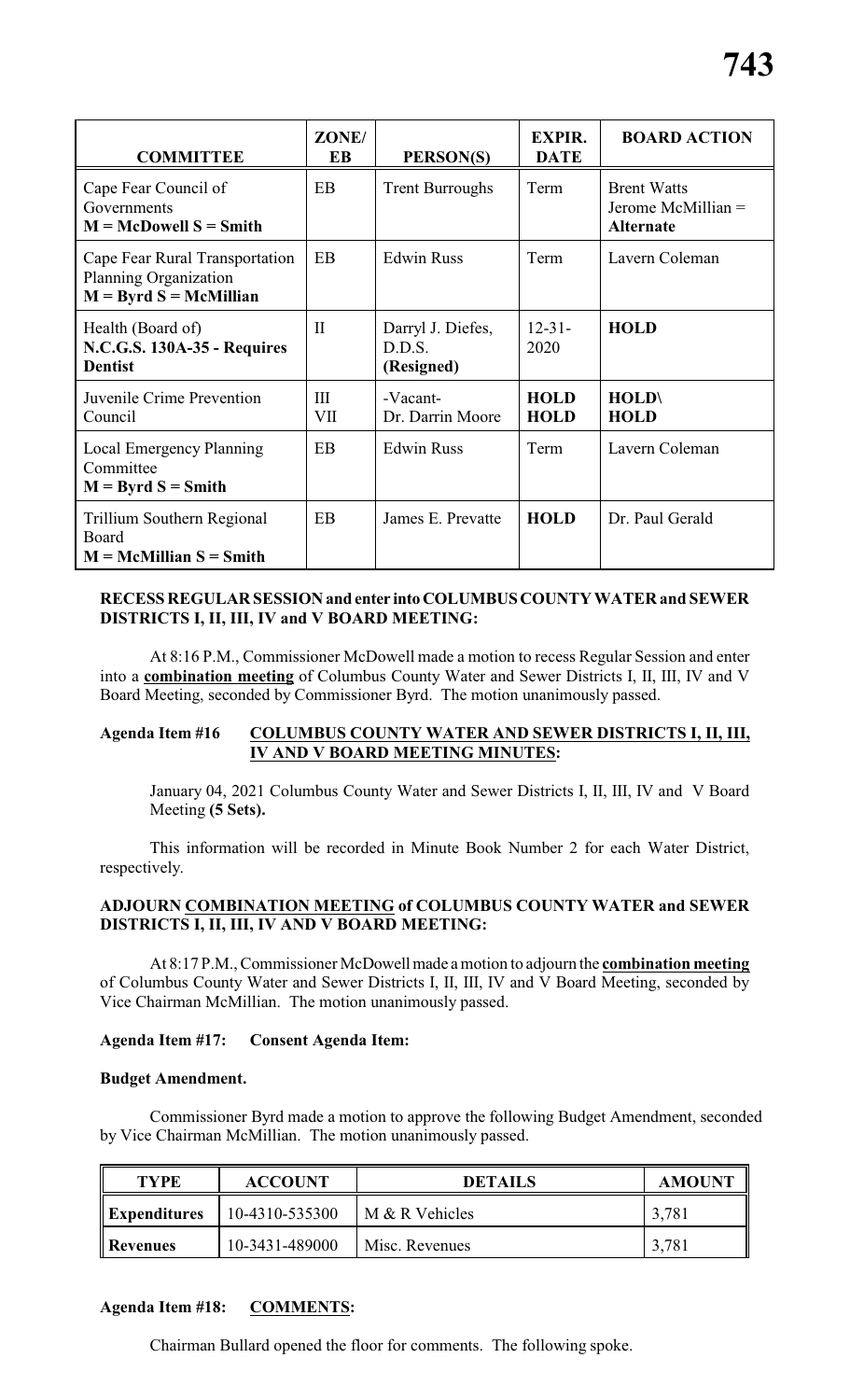| <b>COMMITTEE</b>                                                                    | ZONE/<br>EB  | PERSON(S)                                 | <b>EXPIR.</b><br><b>DATE</b> | <b>BOARD ACTION</b>                                          |
|-------------------------------------------------------------------------------------|--------------|-------------------------------------------|------------------------------|--------------------------------------------------------------|
| Cape Fear Council of<br>Governments<br>$M = McDowell S = Smith$                     | <b>EB</b>    | <b>Trent Burroughs</b>                    | Term                         | <b>Brent Watts</b><br>Jerome McMillian =<br><b>Alternate</b> |
| Cape Fear Rural Transportation<br>Planning Organization<br>$M = Byrd S = McMillian$ | EB           | <b>Edwin Russ</b>                         | Term                         | Lavern Coleman                                               |
| Health (Board of)<br>N.C.G.S. 130A-35 - Requires<br><b>Dentist</b>                  | $\mathbf{I}$ | Darryl J. Diefes,<br>D.D.S.<br>(Resigned) | $12 - 31 -$<br>2020          | <b>HOLD</b>                                                  |
| Juvenile Crime Prevention<br>Council                                                | III<br>VII   | -Vacant-<br>Dr. Darrin Moore              | <b>HOLD</b><br><b>HOLD</b>   | <b>HOLD\</b><br><b>HOLD</b>                                  |
| Local Emergency Planning<br>Committee<br>$M = Byrd S = Smith$                       | <b>EB</b>    | <b>Edwin Russ</b>                         | Term                         | Lavern Coleman                                               |
| Trillium Southern Regional<br>Board<br>$M = McMillian S = Smith$                    | EB           | James E. Prevatte                         | <b>HOLD</b>                  | Dr. Paul Gerald                                              |

# **RECESS REGULAR SESSIONand enter intoCOLUMBUSCOUNTY WATER and SEWER DISTRICTS I, II, III, IV and V BOARD MEETING:**

At 8:16 P.M., Commissioner McDowell made a motion to recess Regular Session and enter into a **combination meeting** of Columbus County Water and Sewer Districts I, II, III, IV and V Board Meeting, seconded by Commissioner Byrd. The motion unanimously passed.

# **Agenda Item #16 COLUMBUS COUNTY WATER AND SEWER DISTRICTS I, II, III, IV AND V BOARD MEETING MINUTES:**

January 04, 2021 Columbus County Water and Sewer Districts I, II, III, IV and V Board Meeting **(5 Sets).**

This information will be recorded in Minute Book Number 2 for each Water District, respectively.

# **ADJOURN COMBINATION MEETING of COLUMBUS COUNTY WATER and SEWER DISTRICTS I, II, III, IV AND V BOARD MEETING:**

At 8:17 P.M., Commissioner McDowellmade a motion to adjourn the **combination meeting** of Columbus County Water and Sewer Districts I, II, III, IV and V Board Meeting, seconded by Vice Chairman McMillian. The motion unanimously passed.

# **Agenda Item #17: Consent Agenda Item:**

#### **Budget Amendment.**

Commissioner Byrd made a motion to approve the following Budget Amendment, seconded by Vice Chairman McMillian. The motion unanimously passed.

| <b>TYPE</b>         | <b>ACCOUNT</b> | <b>DETAILS</b> | <b>AMOUNT</b> |
|---------------------|----------------|----------------|---------------|
| <i>Expenditures</i> | 10-4310-535300 | M & R Vehicles | 3,781         |
| Revenues            | 10-3431-489000 | Misc. Revenues | 3,781         |

#### **Agenda Item #18: COMMENTS:**

Chairman Bullard opened the floor for comments. The following spoke.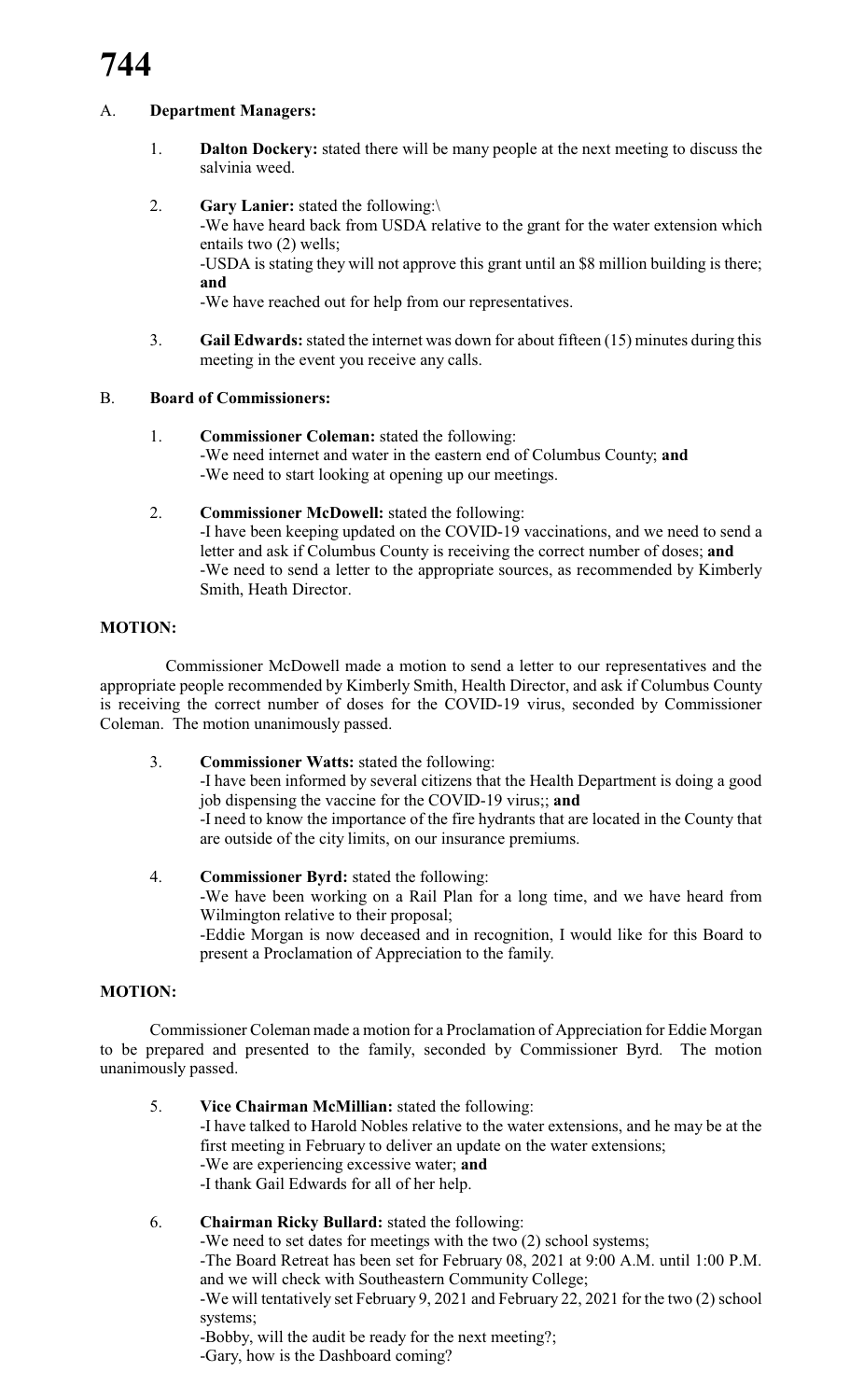# A. **Department Managers:**

- 1. **Dalton Dockery:** stated there will be many people at the next meeting to discuss the salvinia weed.
- 2. **Gary Lanier:** stated the following:\

-We have heard back from USDA relative to the grant for the water extension which entails two (2) wells;

-USDA is stating they will not approve this grant until an \$8 million building is there; **and**

-We have reached out for help from our representatives.

3. **Gail Edwards:**stated the internet was down for about fifteen (15) minutes during this meeting in the event you receive any calls.

# B. **Board of Commissioners:**

- 1. **Commissioner Coleman:** stated the following: -We need internet and water in the eastern end of Columbus County; **and** -We need to start looking at opening up our meetings.
- 2. **Commissioner McDowell:** stated the following: -I have been keeping updated on the COVID-19 vaccinations, and we need to send a letter and ask if Columbus County is receiving the correct number of doses; **and** -We need to send a letter to the appropriate sources, as recommended by Kimberly Smith, Heath Director.

# **MOTION:**

Commissioner McDowell made a motion to send a letter to our representatives and the appropriate people recommended by Kimberly Smith, Health Director, and ask if Columbus County is receiving the correct number of doses for the COVID-19 virus, seconded by Commissioner Coleman. The motion unanimously passed.

3. **Commissioner Watts:** stated the following:

-I have been informed by several citizens that the Health Department is doing a good job dispensing the vaccine for the COVID-19 virus;; **and** -I need to know the importance of the fire hydrants that are located in the County that are outside of the city limits, on our insurance premiums.

4. **Commissioner Byrd:** stated the following: -We have been working on a Rail Plan for a long time, and we have heard from Wilmington relative to their proposal; -Eddie Morgan is now deceased and in recognition, I would like for this Board to present a Proclamation of Appreciation to the family.

# **MOTION:**

Commissioner Coleman made a motion for a Proclamation of Appreciation for Eddie Morgan to be prepared and presented to the family, seconded by Commissioner Byrd. The motion unanimously passed.

5. **Vice Chairman McMillian:** stated the following: -I have talked to Harold Nobles relative to the water extensions, and he may be at the first meeting in February to deliver an update on the water extensions; -We are experiencing excessive water; **and** -I thank Gail Edwards for all of her help.

# 6. **Chairman Ricky Bullard:** stated the following:

-We need to set dates for meetings with the two (2) school systems; -The Board Retreat has been set for February 08, 2021 at 9:00 A.M. until 1:00 P.M. and we will check with Southeastern Community College;

-We will tentatively set February 9, 2021 and February 22, 2021 for the two (2) school systems;

-Bobby, will the audit be ready for the next meeting?;

-Gary, how is the Dashboard coming?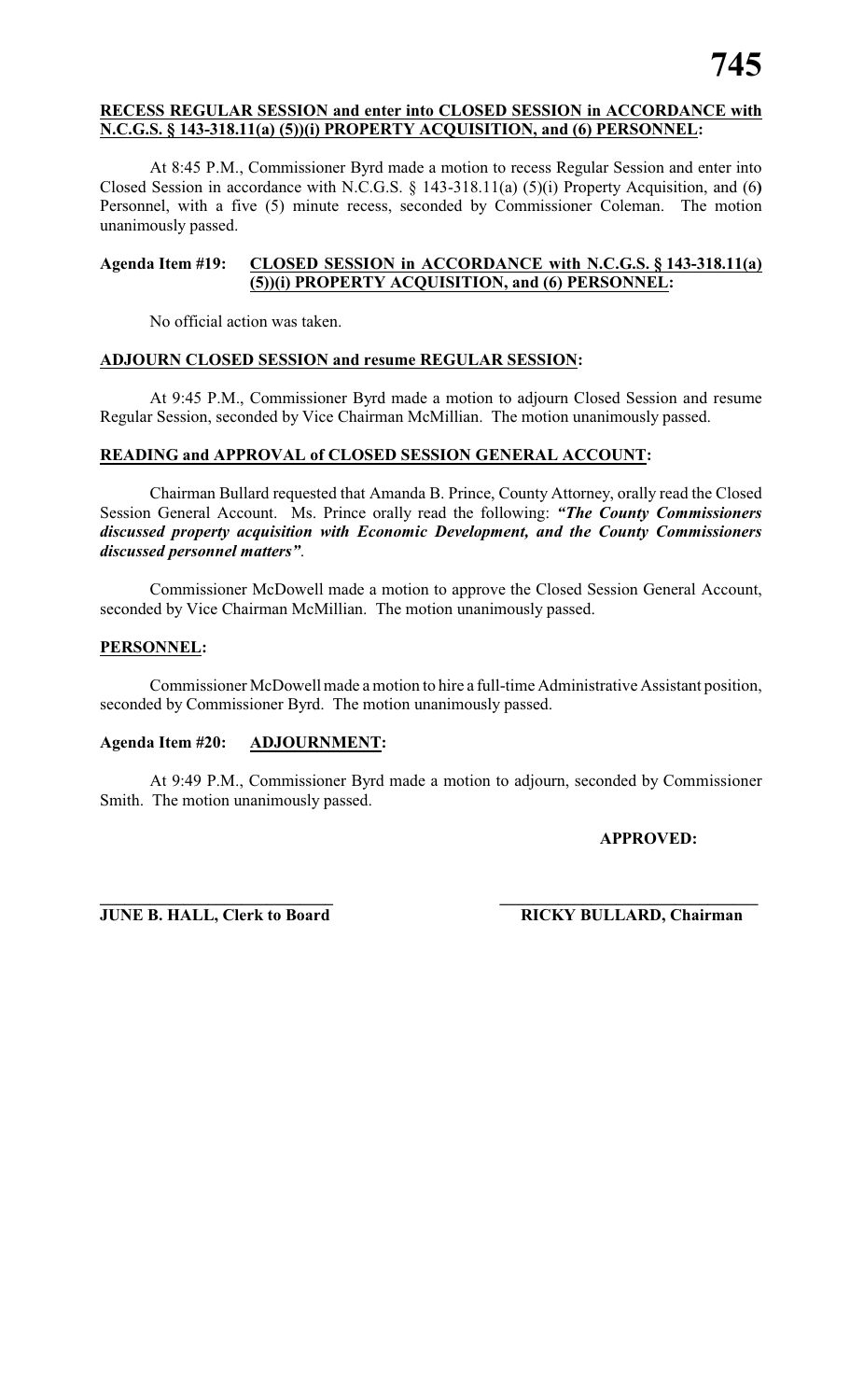### **RECESS REGULAR SESSION and enter into CLOSED SESSION in ACCORDANCE with N.C.G.S. § 143-318.11(a) (5))(i) PROPERTY ACQUISITION, and (6) PERSONNEL:**

At 8:45 P.M., Commissioner Byrd made a motion to recess Regular Session and enter into Closed Session in accordance with N.C.G.S. § 143-318.11(a) (5)(i) Property Acquisition, and (6**)** Personnel, with a five (5) minute recess, seconded by Commissioner Coleman. The motion unanimously passed.

# **Agenda Item #19: CLOSED SESSION in ACCORDANCE with N.C.G.S. § 143-318.11(a) (5))(i) PROPERTY ACQUISITION, and (6) PERSONNEL:**

No official action was taken.

# **ADJOURN CLOSED SESSION and resume REGULAR SESSION:**

At 9:45 P.M., Commissioner Byrd made a motion to adjourn Closed Session and resume Regular Session, seconded by Vice Chairman McMillian. The motion unanimously passed.

# **READING and APPROVAL of CLOSED SESSION GENERAL ACCOUNT:**

Chairman Bullard requested that Amanda B. Prince, County Attorney, orally read the Closed Session General Account. Ms. Prince orally read the following: *"The County Commissioners discussed property acquisition with Economic Development, and the County Commissioners discussed personnel matters"*.

Commissioner McDowell made a motion to approve the Closed Session General Account, seconded by Vice Chairman McMillian. The motion unanimously passed.

# **PERSONNEL:**

Commissioner McDowell made a motion to hire a full-time Administrative Assistant position, seconded by Commissioner Byrd. The motion unanimously passed.

# **Agenda Item #20: ADJOURNMENT:**

At 9:49 P.M., Commissioner Byrd made a motion to adjourn, seconded by Commissioner Smith. The motion unanimously passed.

#### **APPROVED:**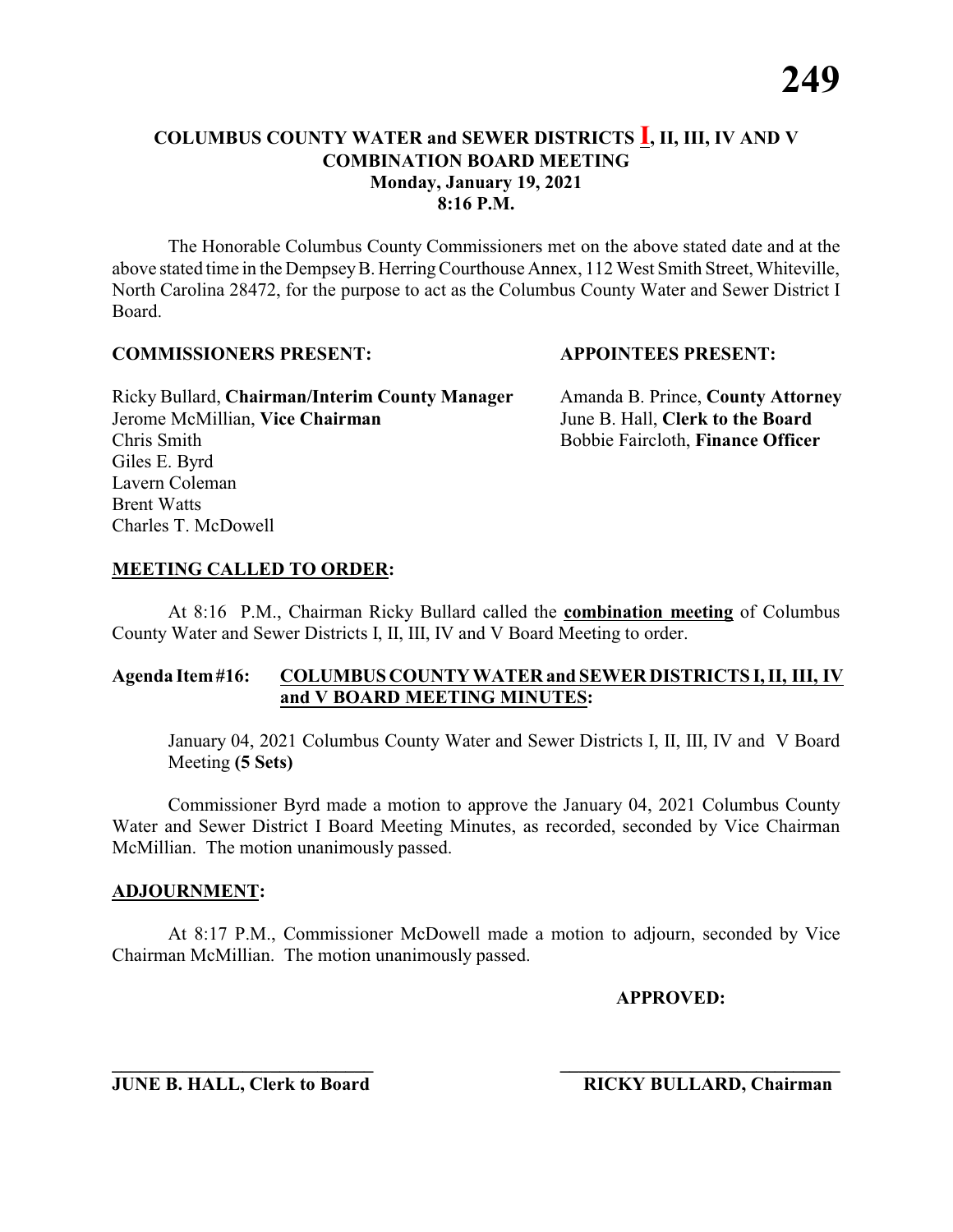The Honorable Columbus County Commissioners met on the above stated date and at the above stated time in the DempseyB. HerringCourthouse Annex, 112 West Smith Street, Whiteville, North Carolina 28472, for the purpose to act as the Columbus County Water and Sewer District I Board.

#### **COMMISSIONERS PRESENT: APPOINTEES PRESENT:**

Ricky Bullard, **Chairman/Interim County Manager** Amanda B. Prince, **County Attorney** Jerome McMillian, **Vice Chairman** June B. Hall, **Clerk to the Board** Chris Smith Bobbie Faircloth, **Finance Officer** Giles E. Byrd Lavern Coleman Brent Watts Charles T. McDowell

### **MEETING CALLED TO ORDER:**

At 8:16 P.M., Chairman Ricky Bullard called the **combination meeting** of Columbus County Water and Sewer Districts I, II, III, IV and V Board Meeting to order.

### **Agenda Item#16: COLUMBUS COUNTY WATER and SEWER DISTRICTS I, II, III, IV and V BOARD MEETING MINUTES:**

January 04, 2021 Columbus County Water and Sewer Districts I, II, III, IV and V Board Meeting **(5 Sets)**

Commissioner Byrd made a motion to approve the January 04, 2021 Columbus County Water and Sewer District I Board Meeting Minutes, as recorded, seconded by Vice Chairman McMillian. The motion unanimously passed.

#### **ADJOURNMENT:**

At 8:17 P.M., Commissioner McDowell made a motion to adjourn, seconded by Vice Chairman McMillian. The motion unanimously passed.

**APPROVED:**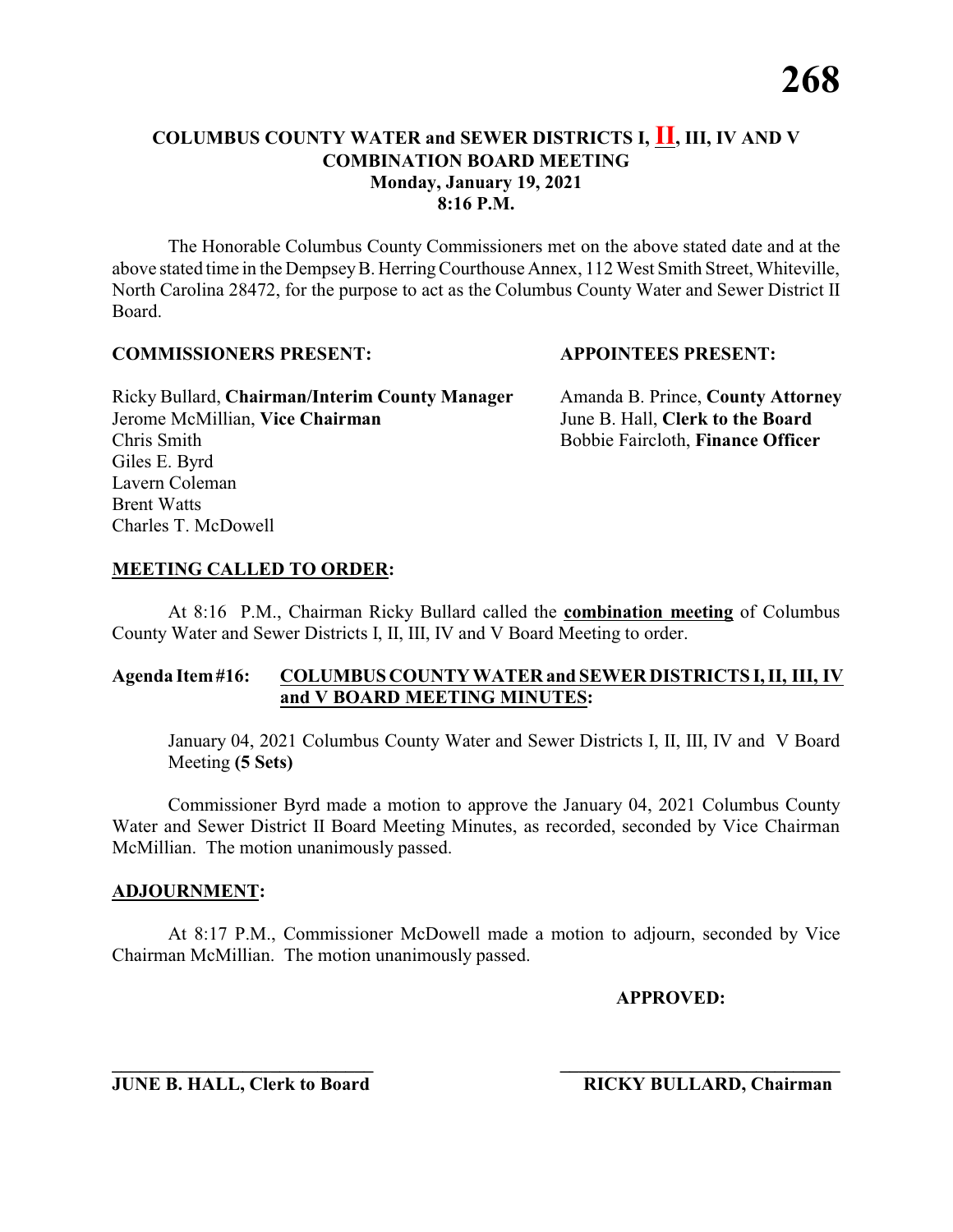The Honorable Columbus County Commissioners met on the above stated date and at the above stated time in the DempseyB. HerringCourthouse Annex, 112 West Smith Street, Whiteville, North Carolina 28472, for the purpose to act as the Columbus County Water and Sewer District II Board.

#### **COMMISSIONERS PRESENT: APPOINTEES PRESENT:**

Ricky Bullard, **Chairman/Interim County Manager** Amanda B. Prince, **County Attorney** Jerome McMillian, **Vice Chairman** June B. Hall, **Clerk to the Board** Chris Smith Bobbie Faircloth, **Finance Officer** Giles E. Byrd Lavern Coleman Brent Watts Charles T. McDowell

### **MEETING CALLED TO ORDER:**

At 8:16 P.M., Chairman Ricky Bullard called the **combination meeting** of Columbus County Water and Sewer Districts I, II, III, IV and V Board Meeting to order.

### **Agenda Item#16: COLUMBUS COUNTY WATER and SEWER DISTRICTS I, II, III, IV and V BOARD MEETING MINUTES:**

January 04, 2021 Columbus County Water and Sewer Districts I, II, III, IV and V Board Meeting **(5 Sets)**

Commissioner Byrd made a motion to approve the January 04, 2021 Columbus County Water and Sewer District II Board Meeting Minutes, as recorded, seconded by Vice Chairman McMillian. The motion unanimously passed.

#### **ADJOURNMENT:**

At 8:17 P.M., Commissioner McDowell made a motion to adjourn, seconded by Vice Chairman McMillian. The motion unanimously passed.

**APPROVED:**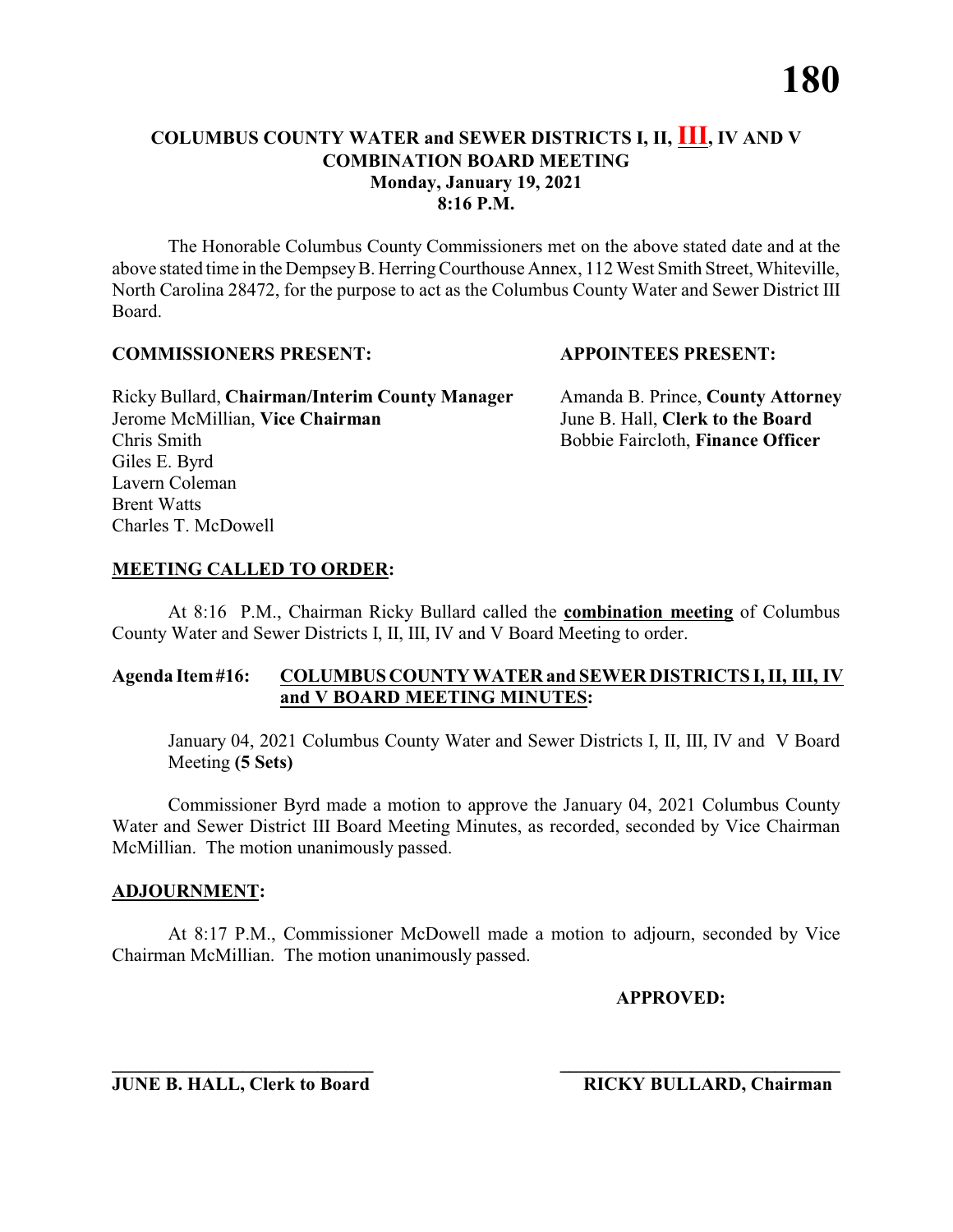The Honorable Columbus County Commissioners met on the above stated date and at the above stated time in the DempseyB. HerringCourthouse Annex, 112 West Smith Street, Whiteville, North Carolina 28472, for the purpose to act as the Columbus County Water and Sewer District III Board.

#### **COMMISSIONERS PRESENT: APPOINTEES PRESENT:**

Ricky Bullard, **Chairman/Interim County Manager** Amanda B. Prince, **County Attorney** Jerome McMillian, **Vice Chairman** June B. Hall, **Clerk to the Board** Chris Smith Bobbie Faircloth, **Finance Officer** Giles E. Byrd Lavern Coleman Brent Watts Charles T. McDowell

# **MEETING CALLED TO ORDER:**

At 8:16 P.M., Chairman Ricky Bullard called the **combination meeting** of Columbus County Water and Sewer Districts I, II, III, IV and V Board Meeting to order.

### **Agenda Item#16: COLUMBUS COUNTY WATER and SEWER DISTRICTS I, II, III, IV and V BOARD MEETING MINUTES:**

January 04, 2021 Columbus County Water and Sewer Districts I, II, III, IV and V Board Meeting **(5 Sets)**

Commissioner Byrd made a motion to approve the January 04, 2021 Columbus County Water and Sewer District III Board Meeting Minutes, as recorded, seconded by Vice Chairman McMillian. The motion unanimously passed.

#### **ADJOURNMENT:**

At 8:17 P.M., Commissioner McDowell made a motion to adjourn, seconded by Vice Chairman McMillian. The motion unanimously passed.

**APPROVED:**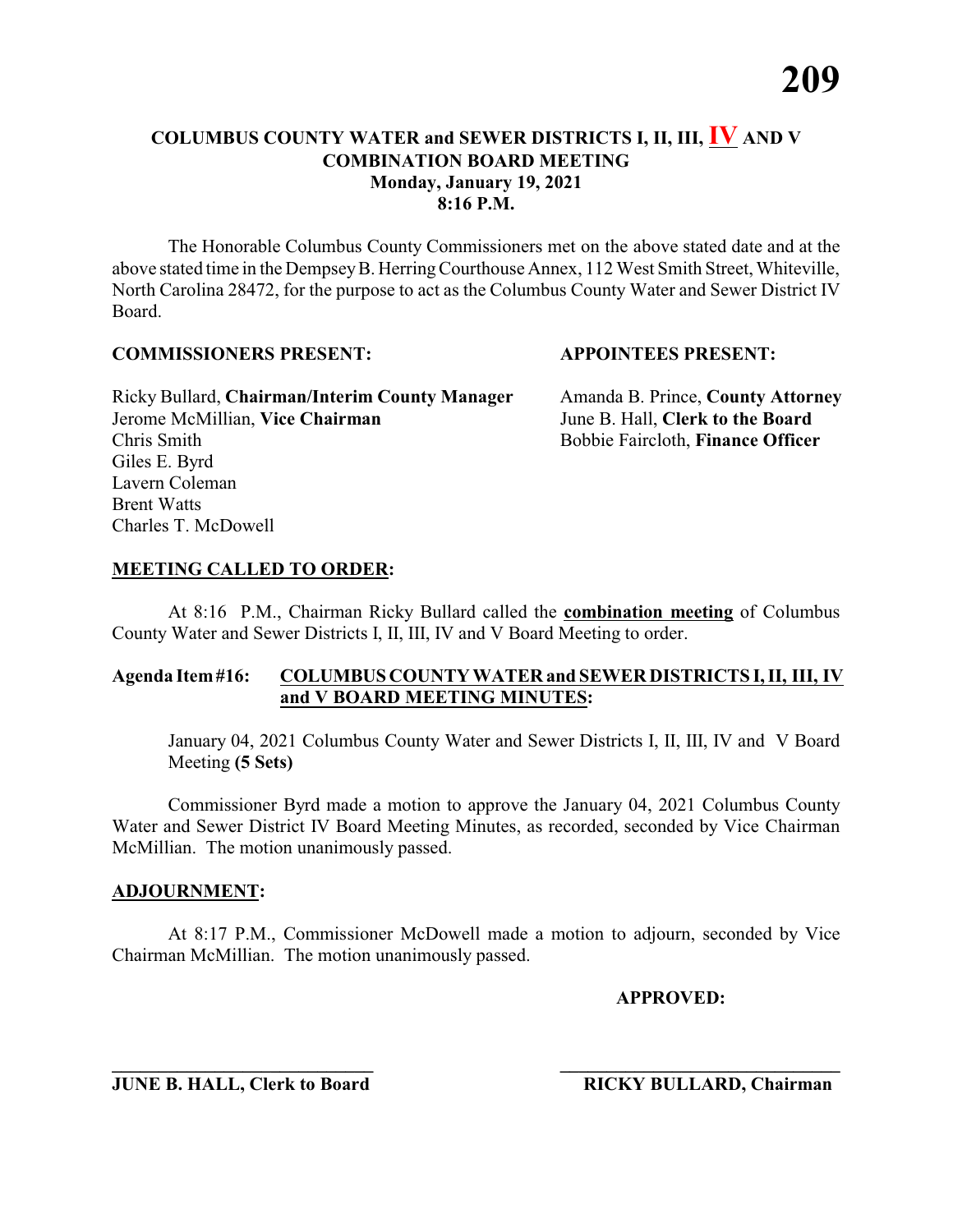The Honorable Columbus County Commissioners met on the above stated date and at the above stated time in the DempseyB. HerringCourthouse Annex, 112 West Smith Street, Whiteville, North Carolina 28472, for the purpose to act as the Columbus County Water and Sewer District IV Board.

#### **COMMISSIONERS PRESENT: APPOINTEES PRESENT:**

Ricky Bullard, **Chairman/Interim County Manager** Amanda B. Prince, **County Attorney** Jerome McMillian, **Vice Chairman** June B. Hall, **Clerk to the Board** Chris Smith Bobbie Faircloth, **Finance Officer** Giles E. Byrd Lavern Coleman Brent Watts Charles T. McDowell

### **MEETING CALLED TO ORDER:**

At 8:16 P.M., Chairman Ricky Bullard called the **combination meeting** of Columbus County Water and Sewer Districts I, II, III, IV and V Board Meeting to order.

### **Agenda Item#16: COLUMBUS COUNTY WATER and SEWER DISTRICTS I, II, III, IV and V BOARD MEETING MINUTES:**

January 04, 2021 Columbus County Water and Sewer Districts I, II, III, IV and V Board Meeting **(5 Sets)**

Commissioner Byrd made a motion to approve the January 04, 2021 Columbus County Water and Sewer District IV Board Meeting Minutes, as recorded, seconded by Vice Chairman McMillian. The motion unanimously passed.

#### **ADJOURNMENT:**

At 8:17 P.M., Commissioner McDowell made a motion to adjourn, seconded by Vice Chairman McMillian. The motion unanimously passed.

**APPROVED:**